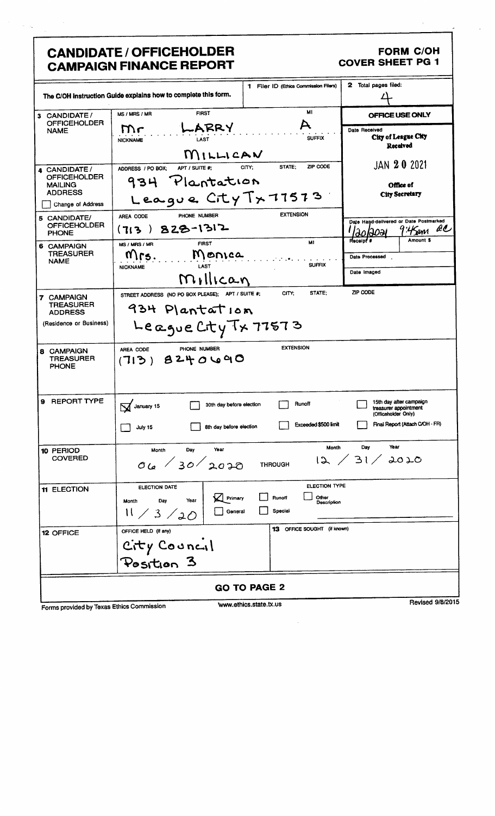# **CANDIDATE / OFFICEHOLDER CAMPAIGN FINANCE REPORT**

### **FORM C/OH COVER SHEET PG 1**

|                                                                                                                                                                                              | The C/OH instruction Guide explains how to complete this form.                                                                                                                                         | 1 Filer ID (Ethics Commission Filers)                                  | 2 Total pages filed:                                                                                                                                                             |  |  |
|----------------------------------------------------------------------------------------------------------------------------------------------------------------------------------------------|--------------------------------------------------------------------------------------------------------------------------------------------------------------------------------------------------------|------------------------------------------------------------------------|----------------------------------------------------------------------------------------------------------------------------------------------------------------------------------|--|--|
| CANDIDATE/<br>3<br><b>OFFICEHOLDER</b><br><b>NAME</b>                                                                                                                                        | FIRST<br>MS / MRS / MR<br>LARRY<br>Mr<br>LAST<br><b>NICKNAME</b>                                                                                                                                       | MI<br><b>SUFFIX</b>                                                    | OFFICE USE ONLY<br>Date Received<br>City of League City<br>Received                                                                                                              |  |  |
| CANDIDATE /<br><b>OFFICEHOLDER</b><br>MAILING<br><b>ADDRESS</b><br>Change of Address<br>5 CANDIDATE/<br><b>OFFICEHOLDER</b><br><b>PHONE</b><br>6 CAMPAIGN<br><b>TREASURER</b><br><b>NAME</b> | MILLICAN<br>APT / SUITE #:<br>ADDRESS / PO BOX;<br>934 Plantation<br>League City Tx 77573<br>PHONE NUMBER<br>AREA CODE<br>828-1312<br>(7:3)<br><b>FIRST</b><br>MS / MRS / MR<br>Monica<br>Mrs.<br>LAST | STATE;<br>ZIP CODE<br>CITY:<br><b>EXTENSION</b><br>MI<br><b>SUFFIX</b> | JAN 20 2021<br>Office of<br><b>City Secretary</b><br>Date Hand-delivered or Date Postmarked<br>QC<br>'4 Sam<br><u>aolaoal</u><br><b>Heceipt</b> #<br>Amount \$<br>Date Processed |  |  |
| <b>7 CAMPAIGN</b><br><b>TREASURER</b><br><b>ADDRESS</b><br>(Residence or Business)                                                                                                           | <b>NICKNAME</b><br>Millican<br>STREET ADDRESS (NO PO BOX PLEASE); APT / SUITE #;<br>934 Plantation<br>League City Tx 77573                                                                             | STATE;<br>CITY;                                                        | Date Imaged<br>ZIP CODE                                                                                                                                                          |  |  |
| 8 CAMPAIGN<br>TREASURER<br><b>PHONE</b><br><b>REPORT TYPE</b><br>9                                                                                                                           | PHONE NUMBER<br>AREA CODE<br>8240090<br>(713)<br>30th day before election<br>V January 15                                                                                                              | <b>EXTENSION</b><br>Runoff                                             | 15th day after campaign<br>treasurer appointment                                                                                                                                 |  |  |
|                                                                                                                                                                                              | 8th day before election<br>July 15<br>Year<br>Day<br>Month                                                                                                                                             | Exceeded \$500 limit<br>Month                                          | (Officeholder Only)<br>Final Report (Attach C/OH - FR)<br>Year<br>Day                                                                                                            |  |  |
| 10 PERIOD<br><b>COVERED</b>                                                                                                                                                                  | 06/30/2020                                                                                                                                                                                             | <b>THROUGH</b>                                                         | 12 / 31 / 2020                                                                                                                                                                   |  |  |
| 11 ELECTION                                                                                                                                                                                  | ELECTION DATE<br>$\Box$ Primary<br>Year<br>Day<br>Month<br>General<br>11 / 3 / 20                                                                                                                      | ELECTION TYPE<br>Other<br>Runoff<br>Description<br>Special             |                                                                                                                                                                                  |  |  |
| 12 OFFICE                                                                                                                                                                                    | OFFICE HELD (if any)<br>City Council<br>Position 3                                                                                                                                                     | 13 OFFICE SOUGHT (if known)                                            |                                                                                                                                                                                  |  |  |
| <b>GO TO PAGE 2</b>                                                                                                                                                                          |                                                                                                                                                                                                        |                                                                        |                                                                                                                                                                                  |  |  |
| Revised 9/8/201<br>www.ethics.state.tx.us<br>Forms provided by Texas Ethics Commission                                                                                                       |                                                                                                                                                                                                        |                                                                        |                                                                                                                                                                                  |  |  |

 $\hat{\mathcal{A}}$ 

Forms provided by Texas Ethics Commission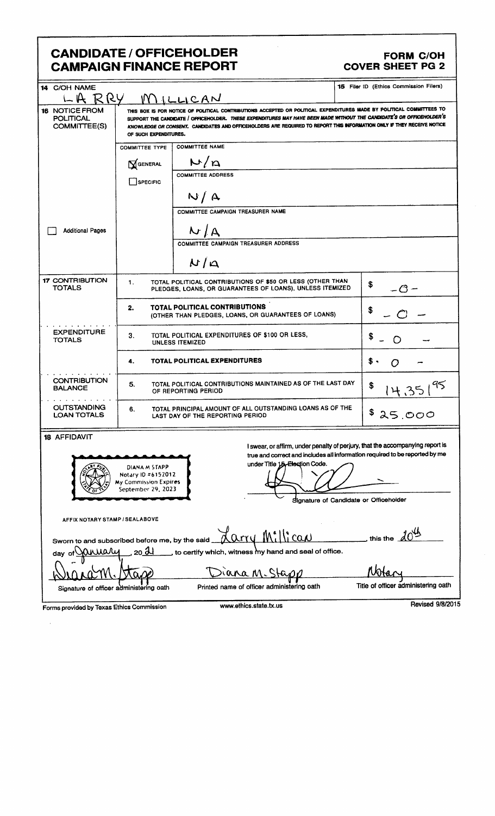## **CANDIDATE / OFFICEHOLDER CAMPAIGN FINANCE REPORT**

#### **FORM C/OH COVER SHEET PG 2**

| 14 C/OH NAME<br>RRY<br>$L_{\rm H}$                                                                                                                                                                                                                                                                                                                                                                                                                                        |                                                                               |                                                                                                                       | 15 Filer ID (Ethics Commission Filers) |  |  |
|---------------------------------------------------------------------------------------------------------------------------------------------------------------------------------------------------------------------------------------------------------------------------------------------------------------------------------------------------------------------------------------------------------------------------------------------------------------------------|-------------------------------------------------------------------------------|-----------------------------------------------------------------------------------------------------------------------|----------------------------------------|--|--|
| MILLICAN<br>THIS BOX IS FOR NOTICE OF POLITICAL CONTRIBUTIONS ACCEPTED OR POLITICAL EXPENDITURES MADE BY POLITICAL COMMITTEES TO<br><b>16 NOTICE FROM</b><br>SUPPORT THE CANDIDATE / OFFICEHOLDER. THESE EXPENDITURES MAY HAVE BEEN MADE WITHOUT THE CANDIDATE'S OR OFFICEHOLDER'S<br><b>POLITICAL</b><br>KNOWLEDGE OR CONSENT. CANDIDATES AND OFFICEHOLDERS ARE REQUIRED TO REPORT THIS INFORMATION ONLY IF THEY RECEIVE NOTICE<br>COMMITTEE(S)<br>OF SUCH EXPENDITURES. |                                                                               |                                                                                                                       |                                        |  |  |
|                                                                                                                                                                                                                                                                                                                                                                                                                                                                           | <b>COMMITTEE TYPE</b>                                                         | <b>COMMITTEE NAME</b>                                                                                                 |                                        |  |  |
|                                                                                                                                                                                                                                                                                                                                                                                                                                                                           | GENERAL                                                                       | N/n                                                                                                                   |                                        |  |  |
|                                                                                                                                                                                                                                                                                                                                                                                                                                                                           | SPECIFIC                                                                      | <b>COMMITTEE ADDRESS</b>                                                                                              |                                        |  |  |
|                                                                                                                                                                                                                                                                                                                                                                                                                                                                           |                                                                               | N/A                                                                                                                   |                                        |  |  |
|                                                                                                                                                                                                                                                                                                                                                                                                                                                                           |                                                                               | COMMITTEE CAMPAIGN TREASURER NAME                                                                                     |                                        |  |  |
| <b>Additional Pages</b>                                                                                                                                                                                                                                                                                                                                                                                                                                                   |                                                                               | N/A                                                                                                                   |                                        |  |  |
|                                                                                                                                                                                                                                                                                                                                                                                                                                                                           |                                                                               | <b>COMMITTEE CAMPAIGN TREASURER ADDRESS</b>                                                                           |                                        |  |  |
|                                                                                                                                                                                                                                                                                                                                                                                                                                                                           |                                                                               | $N/\Omega$                                                                                                            |                                        |  |  |
| <b>17 CONTRIBUTION</b><br><b>TOTALS</b>                                                                                                                                                                                                                                                                                                                                                                                                                                   | 1.                                                                            | TOTAL POLITICAL CONTRIBUTIONS OF \$50 OR LESS (OTHER THAN<br>PLEDGES, LOANS, OR GUARANTEES OF LOANS), UNLESS ITEMIZED | \$<br>-0-                              |  |  |
|                                                                                                                                                                                                                                                                                                                                                                                                                                                                           | 2.                                                                            | TOTAL POLITICAL CONTRIBUTIONS<br>(OTHER THAN PLEDGES, LOANS, OR GUARANTEES OF LOANS)                                  | S                                      |  |  |
| <b>EXPENDITURE</b><br><b>TOTALS</b>                                                                                                                                                                                                                                                                                                                                                                                                                                       | TOTAL POLITICAL EXPENDITURES OF \$100 OR LESS,<br>3.<br>\$<br>UNLESS ITEMIZED |                                                                                                                       |                                        |  |  |
|                                                                                                                                                                                                                                                                                                                                                                                                                                                                           | TOTAL POLITICAL EXPENDITURES<br>4.                                            |                                                                                                                       |                                        |  |  |
| <b>CONTRIBUTION</b><br><b>BALANCE</b>                                                                                                                                                                                                                                                                                                                                                                                                                                     | 5.                                                                            | TOTAL POLITICAL CONTRIBUTIONS MAINTAINED AS OF THE LAST DAY<br>OF REPORTING PERIOD                                    | \$                                     |  |  |
| <b>OUTSTANDING</b><br><b>LOAN TOTALS</b>                                                                                                                                                                                                                                                                                                                                                                                                                                  | 6.                                                                            | TOTAL PRINCIPAL AMOUNT OF ALL OUTSTANDING LOANS AS OF THE<br>LAST DAY OF THE REPORTING PERIOD                         | \$<br>25.000                           |  |  |
| 18 AFFIDAVIT<br>I swear, or affirm, under penalty of perjury, that the accompanying report is<br>true and correct and includes all information required to be reported by me<br>under Title 15-Election Code.<br>DIANA M STAPP<br>Notary 10 #6152012                                                                                                                                                                                                                      |                                                                               |                                                                                                                       |                                        |  |  |
| My Commission Expires<br>September 29, 2023                                                                                                                                                                                                                                                                                                                                                                                                                               |                                                                               |                                                                                                                       |                                        |  |  |
| Signature of Candidate or Officeholder<br>AFFIX NOTARY STAMP / SEALABOVE                                                                                                                                                                                                                                                                                                                                                                                                  |                                                                               |                                                                                                                       |                                        |  |  |
| Sworn to and subscribed before me, by the said                                                                                                                                                                                                                                                                                                                                                                                                                            |                                                                               | Carry Millican                                                                                                        | this the                               |  |  |
| 20 H<br>ahiary<br>, to certify which, witness my hand and seal of office.<br>day of                                                                                                                                                                                                                                                                                                                                                                                       |                                                                               |                                                                                                                       |                                        |  |  |
|                                                                                                                                                                                                                                                                                                                                                                                                                                                                           |                                                                               | nana M                                                                                                                |                                        |  |  |
| Signature of officer administering oath                                                                                                                                                                                                                                                                                                                                                                                                                                   |                                                                               | Printed name of officer administering oath                                                                            | Title of officer administering oath    |  |  |
|                                                                                                                                                                                                                                                                                                                                                                                                                                                                           | d by Tavos Ethios Commission                                                  | www.ethics.state.tx.us                                                                                                | Revised 9/8/2015                       |  |  |

 $\bar{\beta}$ 

Forms provided by Texas Ethics Commission

 $\mathcal{L}$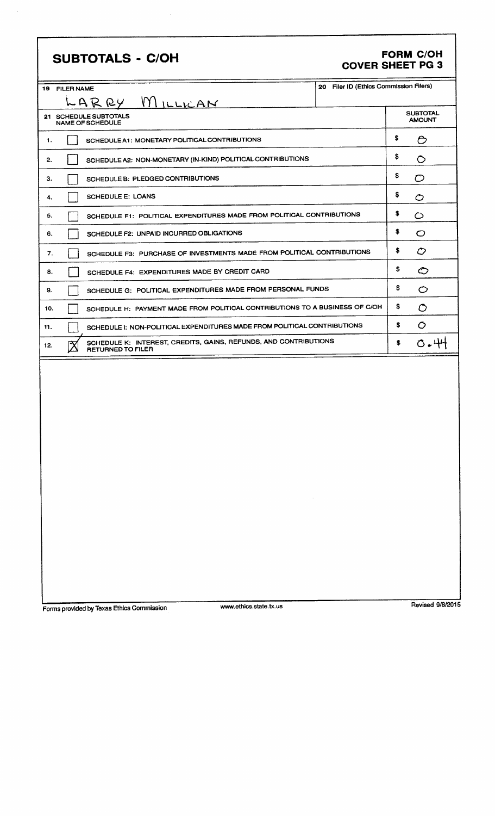| <b>SUBTOTALS - C/OH</b>                                                                                     | <b>COVER SHEET PG 3</b>                |    | <b>FORM C/OH</b>                 |
|-------------------------------------------------------------------------------------------------------------|----------------------------------------|----|----------------------------------|
| 19 FILER NAME                                                                                               | 20 Filer ID (Ethics Commission Filers) |    |                                  |
| LARRY MILLICAN                                                                                              |                                        |    |                                  |
| 21 SCHEDULE SUBTOTALS<br>NAME OF SCHEDULE                                                                   |                                        |    | <b>SUBTOTAL</b><br><b>AMOUNT</b> |
| SCHEDULE A1: MONETARY POLITICAL CONTRIBUTIONS<br>1.                                                         |                                        |    | Ô                                |
| SCHEDULE A2: NON-MONETARY (IN-KIND) POLITICAL CONTRIBUTIONS<br>2.                                           |                                        | \$ | $\circ$                          |
| SCHEDULE B: PLEDGED CONTRIBUTIONS<br>З.                                                                     |                                        | \$ | ◯                                |
| <b>SCHEDULE E: LOANS</b><br>4.                                                                              |                                        | \$ | O                                |
| SCHEDULE F1: POLITICAL EXPENDITURES MADE FROM POLITICAL CONTRIBUTIONS<br>5.                                 |                                        | \$ | ပ                                |
| SCHEDULE F2: UNPAID INCURRED OBLIGATIONS<br>6.                                                              |                                        | \$ | $\circ$                          |
| SCHEDULE F3: PURCHASE OF INVESTMENTS MADE FROM POLITICAL CONTRIBUTIONS<br>7.                                |                                        | \$ | $\mathcal{O}$                    |
| SCHEDULE F4: EXPENDITURES MADE BY CREDIT CARD<br>8.                                                         |                                        | \$ | ◇                                |
| SCHEDULE G: POLITICAL EXPENDITURES MADE FROM PERSONAL FUNDS<br>9.                                           |                                        |    | O                                |
| SCHEDULE H: PAYMENT MADE FROM POLITICAL CONTRIBUTIONS TO A BUSINESS OF C/OH<br>10.                          |                                        |    | O                                |
| SCHEDULE I: NON-POLITICAL EXPENDITURES MADE FROM POLITICAL CONTRIBUTIONS<br>11.                             |                                        |    | $\circ$                          |
| SCHEDULE K: INTEREST, CREDITS, GAINS, REFUNDS, AND CONTRIBUTIONS<br>$\mathbb X$<br>12.<br>RETURNED TO FILER |                                        |    | 0.44                             |
|                                                                                                             | $\mathcal{A} = \{ \mathcal{A} \}$ .    |    |                                  |

Forms provided by Texas Ethics Commission

www.ethics.state.tx.us

Revised 9/8/2015

٦